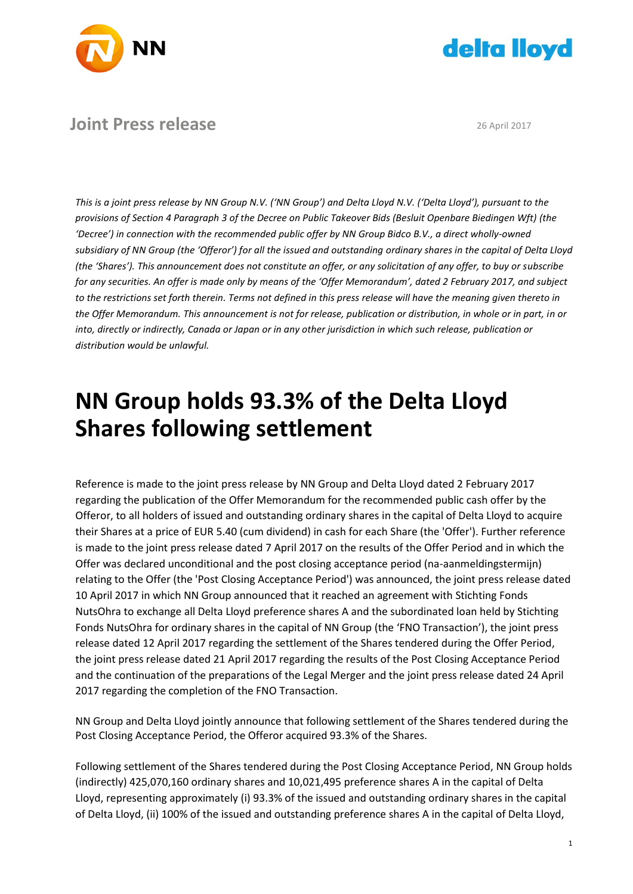



# **Joint Press release** 26 April 2017

*This is a joint press release by NN Group N.V. ('NN Group') and Delta Lloyd N.V. ('Delta Lloyd'), pursuant to the provisions of Section 4 Paragraph 3 of the Decree on Public Takeover Bids (Besluit Openbare Biedingen Wft) (the 'Decree') in connection with the recommended public offer by NN Group Bidco B.V., a direct wholly-owned subsidiary of NN Group (the 'Offeror') for all the issued and outstanding ordinary shares in the capital of Delta Lloyd (the 'Shares'). This announcement does not constitute an offer, or any solicitation of any offer, to buy or subscribe for any securities. An offer is made only by means of the 'Offer Memorandum', dated 2 February 2017, and subject to the restrictions set forth therein. Terms not defined in this press release will have the meaning given thereto in the Offer Memorandum. This announcement is not for release, publication or distribution, in whole or in part, in or into, directly or indirectly, Canada or Japan or in any other jurisdiction in which such release, publication or distribution would be unlawful.*

# **NN Group holds 93.3% of the Delta Lloyd Shares following settlement**

Reference is made to the joint press release by NN Group and Delta Lloyd dated 2 February 2017 regarding the publication of the Offer Memorandum for the recommended public cash offer by the Offeror, to all holders of issued and outstanding ordinary shares in the capital of Delta Lloyd to acquire their Shares at a price of EUR 5.40 (cum dividend) in cash for each Share (the 'Offer'). Further reference is made to the joint press release dated 7 April 2017 on the results of the Offer Period and in which the Offer was declared unconditional and the post closing acceptance period (na-aanmeldingstermijn) relating to the Offer (the 'Post Closing Acceptance Period') was announced, the joint press release dated 10 April 2017 in which NN Group announced that it reached an agreement with Stichting Fonds NutsOhra to exchange all Delta Lloyd preference shares A and the subordinated loan held by Stichting Fonds NutsOhra for ordinary shares in the capital of NN Group (the 'FNO Transaction'), the joint press release dated 12 April 2017 regarding the settlement of the Shares tendered during the Offer Period, the joint press release dated 21 April 2017 regarding the results of the Post Closing Acceptance Period and the continuation of the preparations of the Legal Merger and the joint press release dated 24 April 2017 regarding the completion of the FNO Transaction.

NN Group and Delta Lloyd jointly announce that following settlement of the Shares tendered during the Post Closing Acceptance Period, the Offeror acquired 93.3% of the Shares.

Following settlement of the Shares tendered during the Post Closing Acceptance Period, NN Group holds (indirectly) 425,070,160 ordinary shares and 10,021,495 preference shares A in the capital of Delta Lloyd, representing approximately (i) 93.3% of the issued and outstanding ordinary shares in the capital of Delta Lloyd, (ii) 100% of the issued and outstanding preference shares A in the capital of Delta Lloyd,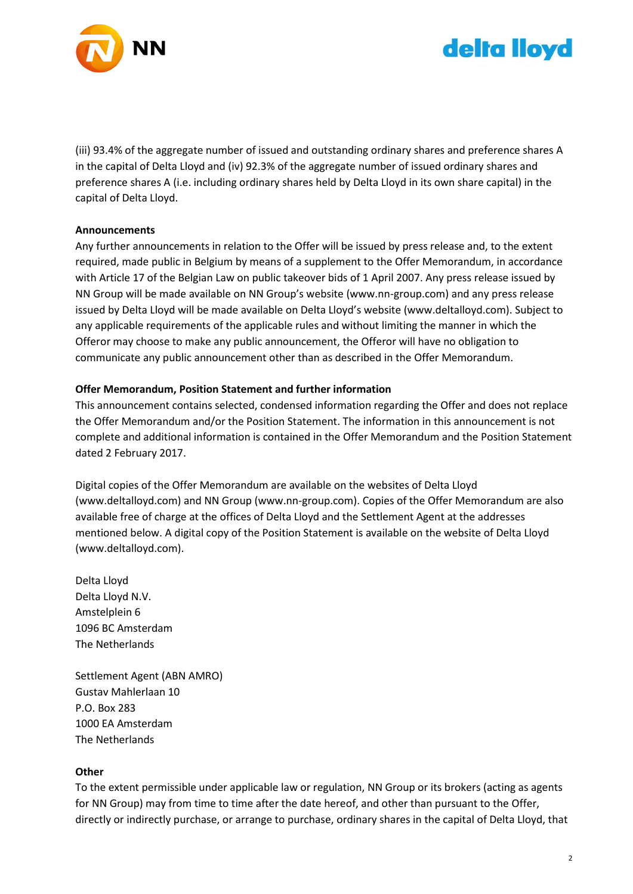



(iii) 93.4% of the aggregate number of issued and outstanding ordinary shares and preference shares A in the capital of Delta Lloyd and (iv) 92.3% of the aggregate number of issued ordinary shares and preference shares A (i.e. including ordinary shares held by Delta Lloyd in its own share capital) in the capital of Delta Lloyd.

# **Announcements**

Any further announcements in relation to the Offer will be issued by press release and, to the extent required, made public in Belgium by means of a supplement to the Offer Memorandum, in accordance with Article 17 of the Belgian Law on public takeover bids of 1 April 2007. Any press release issued by NN Group will be made available on NN Group's website (www.nn-group.com) and any press release issued by Delta Lloyd will be made available on Delta Lloyd's website (www.deltalloyd.com). Subject to any applicable requirements of the applicable rules and without limiting the manner in which the Offeror may choose to make any public announcement, the Offeror will have no obligation to communicate any public announcement other than as described in the Offer Memorandum.

# **Offer Memorandum, Position Statement and further information**

This announcement contains selected, condensed information regarding the Offer and does not replace the Offer Memorandum and/or the Position Statement. The information in this announcement is not complete and additional information is contained in the Offer Memorandum and the Position Statement dated 2 February 2017.

Digital copies of the Offer Memorandum are available on the websites of Delta Lloyd (www.deltalloyd.com) and NN Group (www.nn-group.com). Copies of the Offer Memorandum are also available free of charge at the offices of Delta Lloyd and the Settlement Agent at the addresses mentioned below. A digital copy of the Position Statement is available on the website of Delta Lloyd (www.deltalloyd.com).

Delta Lloyd Delta Lloyd N.V. Amstelplein 6 1096 BC Amsterdam The Netherlands

Settlement Agent (ABN AMRO) Gustav Mahlerlaan 10 P.O. Box 283 1000 EA Amsterdam The Netherlands

### **Other**

To the extent permissible under applicable law or regulation, NN Group or its brokers (acting as agents for NN Group) may from time to time after the date hereof, and other than pursuant to the Offer, directly or indirectly purchase, or arrange to purchase, ordinary shares in the capital of Delta Lloyd, that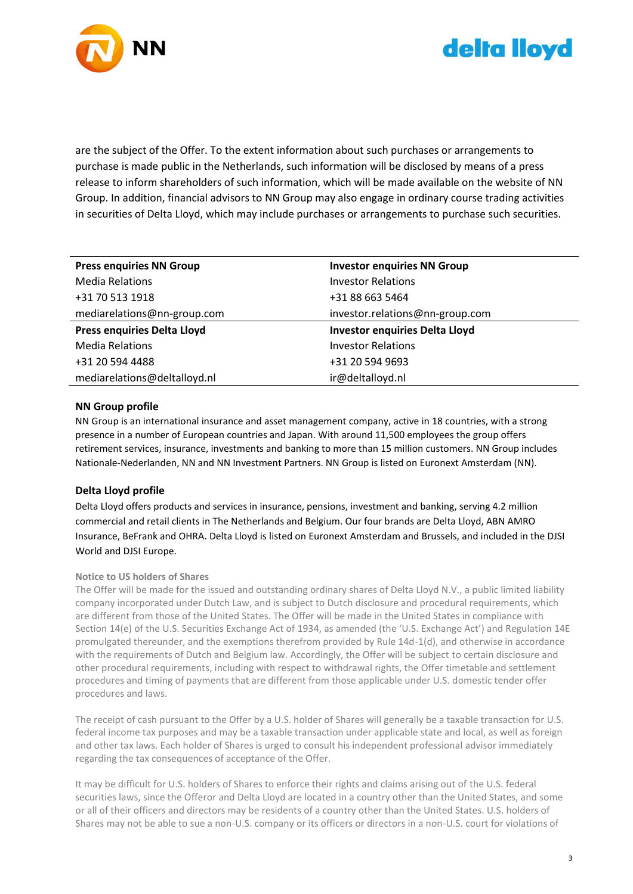



are the subject of the Offer. To the extent information about such purchases or arrangements to purchase is made public in the Netherlands, such information will be disclosed by means of a press release to inform shareholders of such information, which will be made available on the website of NN Group. In addition, financial advisors to NN Group may also engage in ordinary course trading activities in securities of Delta Lloyd, which may include purchases or arrangements to purchase such securities.

| <b>Press enquiries NN Group</b>    | <b>Investor enquiries NN Group</b>    |
|------------------------------------|---------------------------------------|
| <b>Media Relations</b>             | <b>Investor Relations</b>             |
| +31 70 513 1918                    | +31 88 663 5464                       |
| mediarelations@nn-group.com        | investor.relations@nn-group.com       |
| <b>Press enquiries Delta Lloyd</b> | <b>Investor enquiries Delta Lloyd</b> |
| <b>Media Relations</b>             | <b>Investor Relations</b>             |
| +31 20 594 4488                    | +31 20 594 9693                       |
| mediarelations@deltalloyd.nl       | ir@deltalloyd.nl                      |

#### **NN Group profile**

NN Group is an international insurance and asset management company, active in 18 countries, with a strong presence in a number of European countries and Japan. With around 11,500 employees the group offers retirement services, insurance, investments and banking to more than 15 million customers. NN Group includes Nationale-Nederlanden, NN and NN Investment Partners. NN Group is listed on Euronext Amsterdam (NN).

### **Delta Lloyd profile**

Delta Lloyd offers products and services in insurance, pensions, investment and banking, serving 4.2 million commercial and retail clients in The Netherlands and Belgium. Our four brands are Delta Lloyd, ABN AMRO Insurance, BeFrank and OHRA. Delta Lloyd is listed on Euronext Amsterdam and Brussels, and included in the DJSI World and DJSI Europe.

#### **Notice to US holders of Shares**

The Offer will be made for the issued and outstanding ordinary shares of Delta Lloyd N.V., a public limited liability company incorporated under Dutch Law, and is subject to Dutch disclosure and procedural requirements, which are different from those of the United States. The Offer will be made in the United States in compliance with Section 14(e) of the U.S. Securities Exchange Act of 1934, as amended (the 'U.S. Exchange Act') and Regulation 14E promulgated thereunder, and the exemptions therefrom provided by Rule 14d-1(d), and otherwise in accordance with the requirements of Dutch and Belgium law. Accordingly, the Offer will be subject to certain disclosure and other procedural requirements, including with respect to withdrawal rights, the Offer timetable and settlement procedures and timing of payments that are different from those applicable under U.S. domestic tender offer procedures and laws.

The receipt of cash pursuant to the Offer by a U.S. holder of Shares will generally be a taxable transaction for U.S. federal income tax purposes and may be a taxable transaction under applicable state and local, as well as foreign and other tax laws. Each holder of Shares is urged to consult his independent professional advisor immediately regarding the tax consequences of acceptance of the Offer.

It may be difficult for U.S. holders of Shares to enforce their rights and claims arising out of the U.S. federal securities laws, since the Offeror and Delta Lloyd are located in a country other than the United States, and some or all of their officers and directors may be residents of a country other than the United States. U.S. holders of Shares may not be able to sue a non-U.S. company or its officers or directors in a non-U.S. court for violations of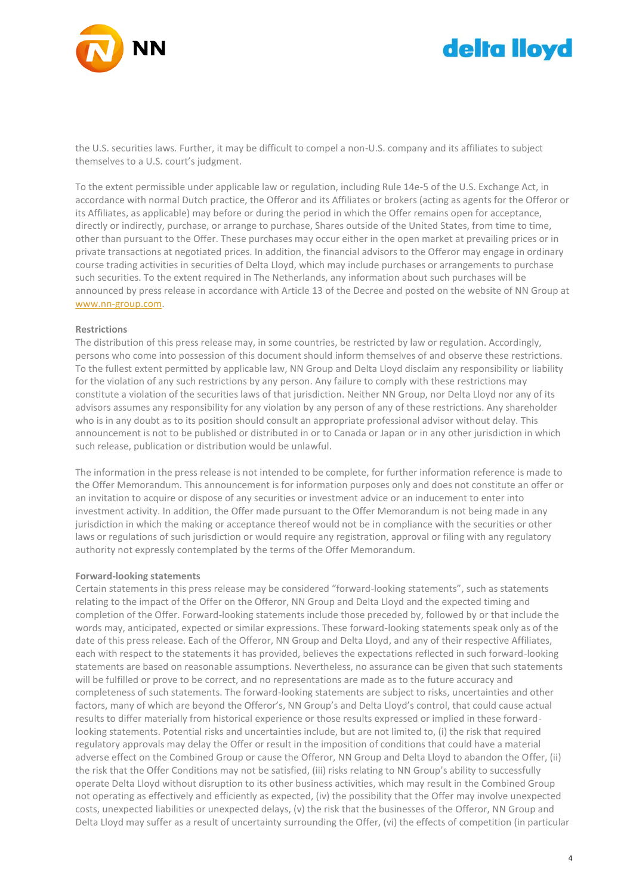

# delta lloyd

the U.S. securities laws. Further, it may be difficult to compel a non-U.S. company and its affiliates to subject themselves to a U.S. court's judgment.

To the extent permissible under applicable law or regulation, including Rule 14e-5 of the U.S. Exchange Act, in accordance with normal Dutch practice, the Offeror and its Affiliates or brokers (acting as agents for the Offeror or its Affiliates, as applicable) may before or during the period in which the Offer remains open for acceptance, directly or indirectly, purchase, or arrange to purchase, Shares outside of the United States, from time to time, other than pursuant to the Offer. These purchases may occur either in the open market at prevailing prices or in private transactions at negotiated prices. In addition, the financial advisors to the Offeror may engage in ordinary course trading activities in securities of Delta Lloyd, which may include purchases or arrangements to purchase such securities. To the extent required in The Netherlands, any information about such purchases will be announced by press release in accordance with Article 13 of the Decree and posted on the website of NN Group at [www.nn-group.com.](http://www.nn-group.com/)

#### **Restrictions**

The distribution of this press release may, in some countries, be restricted by law or regulation. Accordingly, persons who come into possession of this document should inform themselves of and observe these restrictions. To the fullest extent permitted by applicable law, NN Group and Delta Lloyd disclaim any responsibility or liability for the violation of any such restrictions by any person. Any failure to comply with these restrictions may constitute a violation of the securities laws of that jurisdiction. Neither NN Group, nor Delta Lloyd nor any of its advisors assumes any responsibility for any violation by any person of any of these restrictions. Any shareholder who is in any doubt as to its position should consult an appropriate professional advisor without delay. This announcement is not to be published or distributed in or to Canada or Japan or in any other jurisdiction in which such release, publication or distribution would be unlawful.

The information in the press release is not intended to be complete, for further information reference is made to the Offer Memorandum. This announcement is for information purposes only and does not constitute an offer or an invitation to acquire or dispose of any securities or investment advice or an inducement to enter into investment activity. In addition, the Offer made pursuant to the Offer Memorandum is not being made in any jurisdiction in which the making or acceptance thereof would not be in compliance with the securities or other laws or regulations of such jurisdiction or would require any registration, approval or filing with any regulatory authority not expressly contemplated by the terms of the Offer Memorandum.

#### **Forward-looking statements**

Certain statements in this press release may be considered "forward-looking statements", such as statements relating to the impact of the Offer on the Offeror, NN Group and Delta Lloyd and the expected timing and completion of the Offer. Forward-looking statements include those preceded by, followed by or that include the words may, anticipated, expected or similar expressions. These forward-looking statements speak only as of the date of this press release. Each of the Offeror, NN Group and Delta Lloyd, and any of their respective Affiliates, each with respect to the statements it has provided, believes the expectations reflected in such forward-looking statements are based on reasonable assumptions. Nevertheless, no assurance can be given that such statements will be fulfilled or prove to be correct, and no representations are made as to the future accuracy and completeness of such statements. The forward-looking statements are subject to risks, uncertainties and other factors, many of which are beyond the Offeror's, NN Group's and Delta Lloyd's control, that could cause actual results to differ materially from historical experience or those results expressed or implied in these forwardlooking statements. Potential risks and uncertainties include, but are not limited to, (i) the risk that required regulatory approvals may delay the Offer or result in the imposition of conditions that could have a material adverse effect on the Combined Group or cause the Offeror, NN Group and Delta Lloyd to abandon the Offer, (ii) the risk that the Offer Conditions may not be satisfied, (iii) risks relating to NN Group's ability to successfully operate Delta Lloyd without disruption to its other business activities, which may result in the Combined Group not operating as effectively and efficiently as expected, (iv) the possibility that the Offer may involve unexpected costs, unexpected liabilities or unexpected delays, (v) the risk that the businesses of the Offeror, NN Group and Delta Lloyd may suffer as a result of uncertainty surrounding the Offer, (vi) the effects of competition (in particular